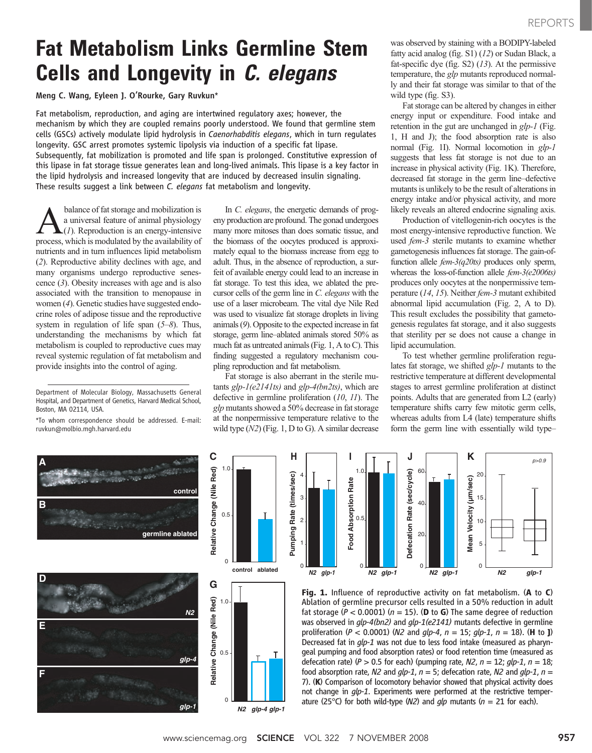# Fat Metabolism Links Germline Stem Cells and Longevity in C. elegans

Meng C. Wang, Eyleen J. O'Rourke, Gary Ruvkun\*

Fat metabolism, reproduction, and aging are intertwined regulatory axes; however, the mechanism by which they are coupled remains poorly understood. We found that germline stem cells (GSCs) actively modulate lipid hydrolysis in Caenorhabditis elegans, which in turn regulates longevity. GSC arrest promotes systemic lipolysis via induction of a specific fat lipase. Subsequently, fat mobilization is promoted and life span is prolonged. Constitutive expression of this lipase in fat storage tissue generates lean and long-lived animals. This lipase is a key factor in the lipid hydrolysis and increased longevity that are induced by decreased insulin signaling. These results suggest a link between C. elegans fat metabolism and longevity.

**C**

balance of fat storage and mobilization is<br>a universal feature of animal physiology<br> $(I)$ . Reproduction is an energy-intensive<br>process which is modulated by the availability of a universal feature of animal physiology  $(1)$ . Reproduction is an energy-intensive process, which is modulated by the availability of nutrients and in turn influences lipid metabolism (2). Reproductive ability declines with age, and many organisms undergo reproductive senescence (3). Obesity increases with age and is also associated with the transition to menopause in women (4). Genetic studies have suggested endocrine roles of adipose tissue and the reproductive system in regulation of life span  $(5-8)$ . Thus, understanding the mechanisms by which fat metabolism is coupled to reproductive cues may reveal systemic regulation of fat metabolism and provide insights into the control of aging.

\*To whom correspondence should be addressed. E-mail: ruvkun@molbio.mgh.harvard.edu

In C. elegans, the energetic demands of progeny production are profound. The gonad undergoes many more mitoses than does somatic tissue, and the biomass of the oocytes produced is approximately equal to the biomass increase from egg to adult. Thus, in the absence of reproduction, a surfeit of available energy could lead to an increase in fat storage. To test this idea, we ablated the precursor cells of the germ line in C. elegans with the use of a laser microbeam. The vital dye Nile Red was used to visualize fat storage droplets in living animals (9). Opposite to the expected increase in fat storage, germ line–ablated animals stored 50% as much fat as untreated animals (Fig. 1, A to C). This finding suggested a regulatory mechanism coupling reproduction and fat metabolism.

Fat storage is also aberrant in the sterile mutants  $glp-1(e2141ts)$  and  $glp-4(bn2ts)$ , which are defective in germline proliferation (10, 11). The glp mutants showed a 50% decrease in fat storage at the nonpermissive temperature relative to the wild type  $(N2)$  (Fig. 1, D to G). A similar decrease

**H**

was observed by staining with a BODIPY-labeled fatty acid analog (fig. S1) (12) or Sudan Black, a fat-specific dye (fig.  $S2$ ) (13). At the permissive temperature, the *glp* mutants reproduced normally and their fat storage was similar to that of the wild type (fig. S3).

Fat storage can be altered by changes in either energy input or expenditure. Food intake and retention in the gut are unchanged in  $glp-1$  (Fig. 1, H and J); the food absorption rate is also normal (Fig. 1I). Normal locomotion in glp-1 suggests that less fat storage is not due to an increase in physical activity (Fig. 1K). Therefore, decreased fat storage in the germ line–defective mutants is unlikely to be the result of alterations in energy intake and/or physical activity, and more likely reveals an altered endocrine signaling axis.

Production of vitellogenin-rich oocytes is the most energy-intensive reproductive function. We used *fem-3* sterile mutants to examine whether gametogenesis influences fat storage. The gain-offunction allele  $fem-3(q20ts)$  produces only sperm, whereas the loss-of-function allele  $fem-3(e2006ts)$ produces only oocytes at the nonpermissive temperature (14, 15). Neither fem-3 mutant exhibited abnormal lipid accumulation (Fig. 2, A to D). This result excludes the possibility that gametogenesis regulates fat storage, and it also suggests that sterility per se does not cause a change in lipid accumulation.

To test whether germline proliferation regulates fat storage, we shifted glp-1 mutants to the restrictive temperature at different developmental stages to arrest germline proliferation at distinct points. Adults that are generated from L2 (early) temperature shifts carry few mitotic germ cells, whereas adults from L4 (late) temperature shifts form the germ line with essentially wild type–





Fig. 1. Influence of reproductive activity on fat metabolism. (A to C) Ablation of germline precursor cells resulted in a 50% reduction in adult fat storage ( $P < 0.0001$ ) ( $n = 15$ ). (D to G) The same degree of reduction was observed in glp-4(bn2) and glp-1(e2141) mutants defective in germline proliferation ( $P < 0.0001$ ) (N2 and  $q/p-4$ ,  $n = 15$ ;  $q/p-1$ ,  $n = 18$ ). (H to J) Decreased fat in glp-1 was not due to less food intake (measured as pharyngeal pumping and food absorption rates) or food retention time (measured as defecation rate) ( $P > 0.5$  for each) (pumping rate,  $N2$ ,  $n = 12$ ;  $glp-1$ ,  $n = 18$ ; food absorption rate, N2 and  $qlp-1$ ,  $n = 5$ ; defecation rate, N2 and  $qlp-1$ ,  $n =$ 7). (K) Comparison of locomotory behavior showed that physical activity does not change in *glp-1*. Experiments were performed at the restrictive temperature (25 $^{\circ}$ C) for both wild-type (N2) and *qlp* mutants ( $n = 21$  for each).

Department of Molecular Biology, Massachusetts General Hospital, and Department of Genetics, Harvard Medical School, Boston, MA 02114, USA.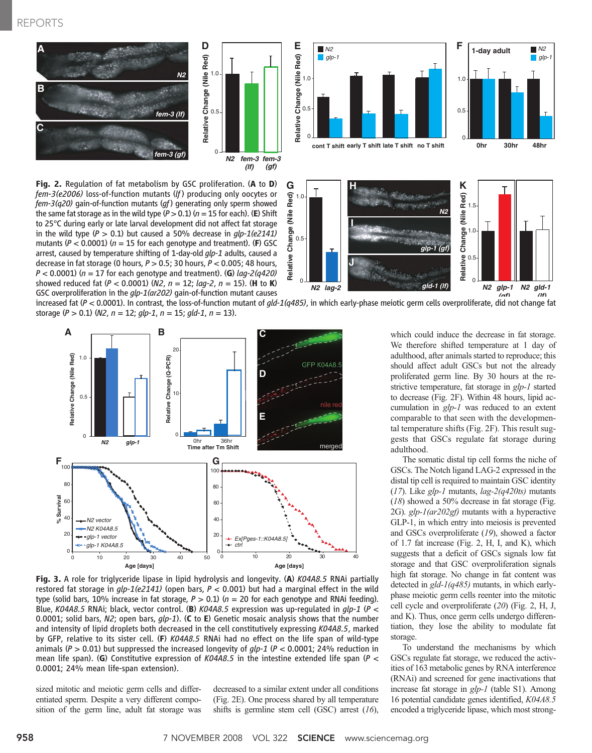### REPORTS





Fig. 2. Regulation of fat metabolism by GSC proliferation. (A to D) fem-3(e2006) loss-of-function mutants (If) producing only oocytes or  $f$ em-3(q20) gain-of-function mutants (qf) generating only sperm showed the same fat storage as in the wild type  $(P > 0.1)$  ( $n = 15$  for each). (E) Shift to 25°C during early or late larval development did not affect fat storage in the wild type ( $P > 0.1$ ) but caused a 50% decrease in  $qlp-1(e2141)$ mutants ( $P < 0.0001$ ) ( $n = 15$  for each genotype and treatment). (F) GSC arrest, caused by temperature shifting of 1-day-old *qlp-1* adults, caused a decrease in fat storage (0 hours,  $P > 0.5$ ; 30 hours,  $P < 0.005$ ; 48 hours,  $P < 0.0001$ ) ( $n = 17$  for each genotype and treatment). (G) lag-2(q420) showed reduced fat (P < 0.0001) (N2,  $n = 12$ ;  $\log^{-2}$ ,  $n = 15$ ). (H to K) GSC overproliferation in the glp-1(ar202) gain-of-function mutant causes





increased fat  $(P < 0.0001)$ . In contrast, the loss-of-function mutant of  $q/d-1(q485)$ , in which early-phase meiotic germ cells overproliferate, did not change fat storage ( $P > 0.1$ ) (N2,  $n = 12$ ;  $glp-1$ ,  $n = 15$ ;  $gld-1$ ,  $n = 13$ ).



Fig. 3. A role for triglyceride lipase in lipid hydrolysis and longevity. (A) K04A8.5 RNAi partially restored fat storage in  $g/p-1(e2141)$  (open bars,  $P < 0.001$ ) but had a marginal effect in the wild type (solid bars, 10% increase in fat storage,  $P > 0.1$ ) ( $n = 20$  for each genotype and RNAi feeding). Blue, K04A8.5 RNAi; black, vector control. (B) K04A8.5 expression was up-regulated in  $glp-1$  (P < 0.0001; solid bars, N2; open bars,  $qlp-1$ ). (C to E) Genetic mosaic analysis shows that the number and intensity of lipid droplets both decreased in the cell constitutively expressing K04A8.5, marked by GFP, relative to its sister cell. (F) K04A8.5 RNAi had no effect on the life span of wild-type animals ( $P > 0.01$ ) but suppressed the increased longevity of  $g/p-1$  ( $P < 0.0001$ ; 24% reduction in mean life span). (G) Constitutive expression of K04A8.5 in the intestine extended life span (P  $\lt$ 0.0001; 24% mean life-span extension).

sized mitotic and meiotic germ cells and differentiated sperm. Despite a very different composition of the germ line, adult fat storage was

decreased to a similar extent under all conditions (Fig. 2E). One process shared by all temperature shifts is germline stem cell (GSC) arrest  $(16)$ , which could induce the decrease in fat storage. We therefore shifted temperature at 1 day of adulthood, after animals started to reproduce; this should affect adult GSCs but not the already proliferated germ line. By 30 hours at the restrictive temperature, fat storage in glp-1 started to decrease (Fig. 2F). Within 48 hours, lipid accumulation in *glp-1* was reduced to an extent comparable to that seen with the developmental temperature shifts (Fig. 2F). This result suggests that GSCs regulate fat storage during adulthood.

*N2*

The somatic distal tip cell forms the niche of GSCs. The Notch ligand LAG-2 expressed in the distal tip cell is required to maintain GSC identity  $(17)$ . Like glp-1 mutants, lag- $2(q420ts)$  mutants (18) showed a 50% decrease in fat storage (Fig. 2G).  $glp-1(ar202gf)$  mutants with a hyperactive GLP-1, in which entry into meiosis is prevented and GSCs overproliferate (19), showed a factor of 1.7 fat increase (Fig. 2, H, I, and K), which suggests that a deficit of GSCs signals low fat storage and that GSC overproliferation signals high fat storage. No change in fat content was detected in  $g/d - 1$  ( $q485$ ) mutants, in which earlyphase meiotic germ cells reenter into the mitotic cell cycle and overproliferate (20) (Fig. 2, H, J, and K). Thus, once germ cells undergo differentiation, they lose the ability to modulate fat storage.

To understand the mechanisms by which GSCs regulate fat storage, we reduced the activities of 163 metabolic genes by RNA interference (RNAi) and screened for gene inactivations that increase fat storage in glp-1 (table S1). Among 16 potential candidate genes identified, K04A8.5 encoded a triglyceride lipase, which most strong-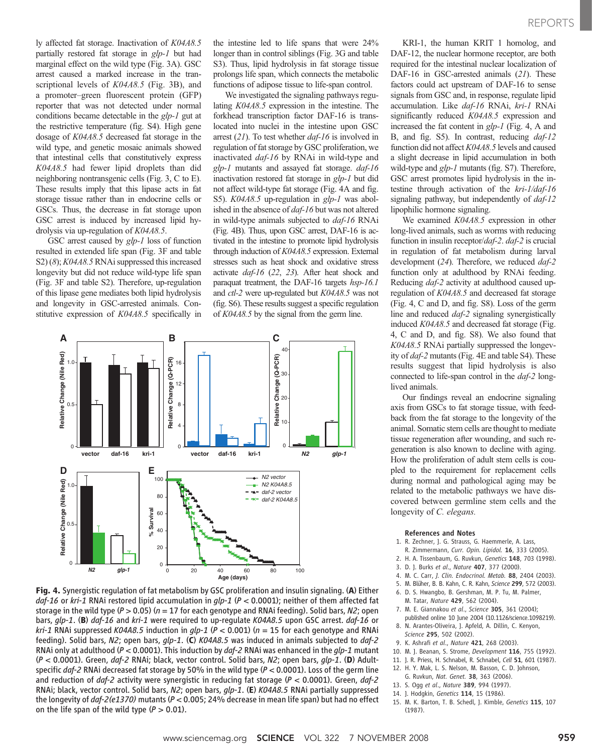REPORTS

ly affected fat storage. Inactivation of K04A8.5 partially restored fat storage in glp-1 but had marginal effect on the wild type (Fig. 3A). GSC arrest caused a marked increase in the transcriptional levels of  $K04A8.5$  (Fig. 3B), and a promoter–green fluorescent protein (GFP) reporter that was not detected under normal conditions became detectable in the glp-1 gut at the restrictive temperature (fig. S4). High gene dosage of K04A8.5 decreased fat storage in the wild type, and genetic mosaic animals showed that intestinal cells that constitutively express K04A8.5 had fewer lipid droplets than did neighboring nontransgenic cells (Fig. 3, C to E). These results imply that this lipase acts in fat storage tissue rather than in endocrine cells or GSCs. Thus, the decrease in fat storage upon GSC arrest is induced by increased lipid hydrolysis via up-regulation of K04A8.5.

GSC arrest caused by  $glp-1$  loss of function resulted in extended life span (Fig. 3F and table S2) (8); K04A8.5 RNAi suppressed this increased longevity but did not reduce wild-type life span (Fig. 3F and table S2). Therefore, up-regulation of this lipase gene mediates both lipid hydrolysis and longevity in GSC-arrested animals. Constitutive expression of K04A8.5 specifically in

the intestine led to life spans that were 24% longer than in control siblings (Fig. 3G and table S3). Thus, lipid hydrolysis in fat storage tissue prolongs life span, which connects the metabolic functions of adipose tissue to life-span control.

We investigated the signaling pathways regulating K04A8.5 expression in the intestine. The forkhead transcription factor DAF-16 is translocated into nuclei in the intestine upon GSC arrest  $(21)$ . To test whether  $daf-16$  is involved in regulation of fat storage by GSC proliferation, we inactivated daf-16 by RNAi in wild-type and glp-1 mutants and assayed fat storage. daf-16 inactivation restored fat storage in glp-1 but did not affect wild-type fat storage (Fig. 4A and fig. S5). K04A8.5 up-regulation in glp-1 was abolished in the absence of *daf-16* but was not altered in wild-type animals subjected to daf-16 RNAi (Fig. 4B). Thus, upon GSC arrest, DAF-16 is activated in the intestine to promote lipid hydrolysis through induction of K04A8.5 expression. External stresses such as heat shock and oxidative stress activate daf-16 (22, 23). After heat shock and paraquat treatment, the DAF-16 targets hsp-16.1 and ctl-2 were up-regulated but K04A8.5 was not (fig. S6). These results suggest a specific regulation of K04A8.5 by the signal from the germ line.



Fig. 4. Synergistic regulation of fat metabolism by GSC proliferation and insulin signaling. (A) Either daf-16 or kri-1 RNAi restored lipid accumulation in  $glp-1$  ( $P < 0.0001$ ); neither of them affected fat storage in the wild type ( $P > 0.05$ ) ( $n = 17$  for each genotype and RNAi feeding). Solid bars, N2; open bars, glp-1. (B) daf-16 and kri-1 were required to up-regulate K04A8.5 upon GSC arrest. daf-16 or *kri-1* RNAi suppressed *KO4A8.5* induction in  $glp-1$  ( $P < 0.001$ ) ( $n = 15$  for each genotype and RNAi feeding). Solid bars, N2; open bars,  $qlp-1$ . (C) K04A8.5 was induced in animals subjected to  $daf-2$ RNAi only at adulthood ( $P < 0.0001$ ). This induction by  $daf-2$  RNAi was enhanced in the  $qlp-1$  mutant  $(P < 0.0001)$ . Green, *daf-2* RNAi; black, vector control. Solid bars, N2; open bars, *glp-1*. (D) Adultspecific daf-2 RNAi decreased fat storage by 50% in the wild type  $(P < 0.0001)$ . Loss of the germ line and reduction of  $daf-2$  activity were synergistic in reducing fat storage ( $P < 0.0001$ ). Green,  $daf-2$ RNAi; black, vector control. Solid bars, N2; open bars, glp-1. (E) K04A8.5 RNAi partially suppressed the longevity of  $daf$ -2(e1370) mutants ( $P < 0.005$ ; 24% decrease in mean life span) but had no effect on the life span of the wild type  $(P > 0.01)$ .

KRI-1, the human KRIT 1 homolog, and DAF-12, the nuclear hormone receptor, are both required for the intestinal nuclear localization of DAF-16 in GSC-arrested animals (21). These factors could act upstream of DAF-16 to sense signals from GSC and, in response, regulate lipid accumulation. Like daf-16 RNAi, kri-1 RNAi significantly reduced K04A8.5 expression and increased the fat content in  $glp-1$  (Fig. 4, A and B, and fig. S5). In contrast, reducing daf-12 function did not affect K04A8.5 levels and caused a slight decrease in lipid accumulation in both wild-type and glp-1 mutants (fig. S7). Therefore, GSC arrest promotes lipid hydrolysis in the intestine through activation of the kri-1/daf-16 signaling pathway, but independently of daf-12 lipophilic hormone signaling.

We examined  $K04A8.5$  expression in other long-lived animals, such as worms with reducing function in insulin receptor/daf-2. daf-2 is crucial in regulation of fat metabolism during larval development (24). Therefore, we reduced  $daf-2$ function only at adulthood by RNAi feeding. Reducing *daf-2* activity at adulthood caused upregulation of K04A8.5 and decreased fat storage (Fig. 4, C and D, and fig. S8). Loss of the germ line and reduced *daf-2* signaling synergistically induced K04A8.5 and decreased fat storage (Fig. 4, C and D, and fig. S8). We also found that K04A8.5 RNAi partially suppressed the longevity of *daf-2* mutants (Fig. 4E and table S4). These results suggest that lipid hydrolysis is also connected to life-span control in the *daf-2* longlived animals.

Our findings reveal an endocrine signaling axis from GSCs to fat storage tissue, with feedback from the fat storage to the longevity of the animal. Somatic stem cells are thought to mediate tissue regeneration after wounding, and such regeneration is also known to decline with aging. How the proliferation of adult stem cells is coupled to the requirement for replacement cells during normal and pathological aging may be related to the metabolic pathways we have discovered between germline stem cells and the longevity of C. elegans.

#### References and Notes

- 1. R. Zechner, J. G. Strauss, G. Haemmerle, A. Lass,
- R. Zimmermann, Curr. Opin. Lipidol. 16, 333 (2005).
- 2. H. A. Tissenbaum, G. Ruvkun, Genetics 148, 703 (1998).
- 3. D. J. Burks et al., Nature 407, 377 (2000).
- 4. M. C. Carr, J. Clin. Endocrinol. Metab. 88, 2404 (2003).
- 5. M. Blüher, B. B. Kahn, C. R. Kahn, Science 299, 572 (2003).
- 6. D. S. Hwangbo, B. Gershman, M. P. Tu, M. Palmer, M. Tatar, Nature 429, 562 (2004).
- 7. M. E. Giannakou et al., Science 305, 361 (2004); published online 10 June 2004 (10.1126/science.1098219). 8. N. Arantes-Oliveira, J. Apfeld, A. Dillin, C. Kenyon,
- Science 295, 502 (2002).
	- 9. K. Ashrafi et al., Nature 421, 268 (2003).
	- 10. M. J. Beanan, S. Strome, Development 116, 755 (1992).
	- 11. J. R. Priess, H. Schnabel, R. Schnabel, Cell 51, 601 (1987).
	- 12. H. Y. Mak, L. S. Nelson, M. Basson, C. D. Johnson,
	- G. Ruvkun, Nat. Genet. 38, 363 (2006).
	- 13. S. Ogg et al., Nature 389, 994 (1997).
	- 14. J. Hodgkin, Genetics 114, 15 (1986).
- 15. M. K. Barton, T. B. Schedl, J. Kimble, Genetics 115, 107 (1987).